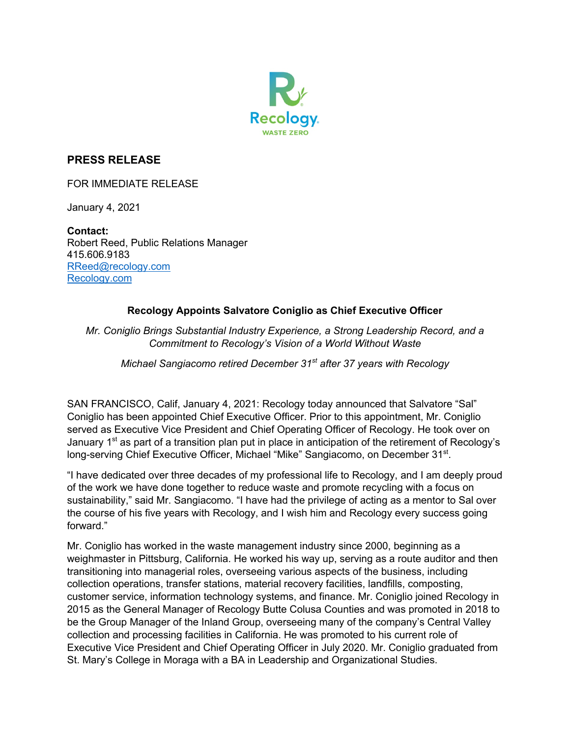

## **PRESS RELEASE**

FOR IMMEDIATE RELEASE

January 4, 2021

**Contact:**  Robert Reed, Public Relations Manager 415.606.9183 RReed@recology.com Recology.com

## **Recology Appoints Salvatore Coniglio as Chief Executive Officer**

*Mr. Coniglio Brings Substantial Industry Experience, a Strong Leadership Record, and a Commitment to Recology's Vision of a World Without Waste*

*Michael Sangiacomo retired December 31st after 37 years with Recology* 

SAN FRANCISCO, Calif, January 4, 2021: Recology today announced that Salvatore "Sal" Coniglio has been appointed Chief Executive Officer. Prior to this appointment, Mr. Coniglio served as Executive Vice President and Chief Operating Officer of Recology. He took over on January 1<sup>st</sup> as part of a transition plan put in place in anticipation of the retirement of Recology's long-serving Chief Executive Officer, Michael "Mike" Sangiacomo, on December 31<sup>st</sup>.

"I have dedicated over three decades of my professional life to Recology, and I am deeply proud of the work we have done together to reduce waste and promote recycling with a focus on sustainability," said Mr. Sangiacomo. "I have had the privilege of acting as a mentor to Sal over the course of his five years with Recology, and I wish him and Recology every success going forward."

Mr. Coniglio has worked in the waste management industry since 2000, beginning as a weighmaster in Pittsburg, California. He worked his way up, serving as a route auditor and then transitioning into managerial roles, overseeing various aspects of the business, including collection operations, transfer stations, material recovery facilities, landfills, composting, customer service, information technology systems, and finance. Mr. Coniglio joined Recology in 2015 as the General Manager of Recology Butte Colusa Counties and was promoted in 2018 to be the Group Manager of the Inland Group, overseeing many of the company's Central Valley collection and processing facilities in California. He was promoted to his current role of Executive Vice President and Chief Operating Officer in July 2020. Mr. Coniglio graduated from St. Mary's College in Moraga with a BA in Leadership and Organizational Studies.